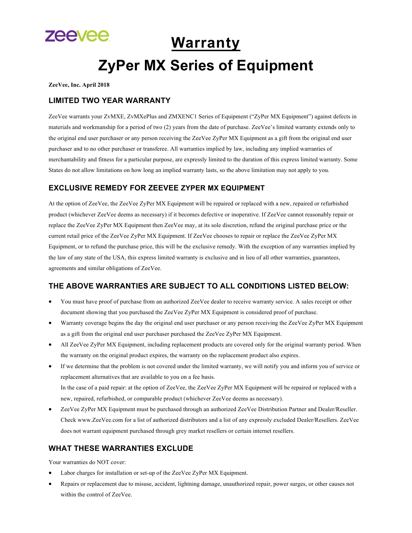

# **Warranty**

# **ZyPer MX Series of Equipment**

**ZeeVee, Inc. April 2018**

## **LIMITED TWO YEAR WARRANTY**

ZeeVee warrants your ZvMXE, ZvMXePlus and ZMXENC1 Series of Equipment ("ZyPer MX Equipment") against defects in materials and workmanship for a period of two (2) years from the date of purchase. ZeeVee's limited warranty extends only to the original end user purchaser or any person receiving the ZeeVee ZyPer MX Equipment as a gift from the original end user purchaser and to no other purchaser or transferee. All warranties implied by law, including any implied warranties of merchantability and fitness for a particular purpose, are expressly limited to the duration of this express limited warranty. Some States do not allow limitations on how long an implied warranty lasts, so the above limitation may not apply to you.

# **EXCLUSIVE REMEDY FOR ZEEVEE ZYPER MX EQUIPMENT**

At the option of ZeeVee, the ZeeVee ZyPer MX Equipment will be repaired or replaced with a new, repaired or refurbished product (whichever ZeeVee deems as necessary) if it becomes defective or inoperative. If ZeeVee cannot reasonably repair or replace the ZeeVee ZyPer MX Equipment then ZeeVee may, at its sole discretion, refund the original purchase price or the current retail price of the ZeeVee ZyPer MX Equipment. If ZeeVee chooses to repair or replace the ZeeVee ZyPer MX Equipment, or to refund the purchase price, this will be the exclusive remedy. With the exception of any warranties implied by the law of any state of the USA, this express limited warranty is exclusive and in lieu of all other warranties, guarantees, agreements and similar obligations of ZeeVee.

# **THE ABOVE WARRANTIES ARE SUBJECT TO ALL CONDITIONS LISTED BELOW:**

- You must have proof of purchase from an authorized ZeeVee dealer to receive warranty service. A sales receipt or other document showing that you purchased the ZeeVee ZyPer MX Equipment is considered proof of purchase.
- Warranty coverage begins the day the original end user purchaser or any person receiving the ZeeVee ZyPer MX Equipment as a gift from the original end user purchaser purchased the ZeeVee ZyPer MX Equipment.
- All ZeeVee ZyPer MX Equipment, including replacement products are covered only for the original warranty period. When the warranty on the original product expires, the warranty on the replacement product also expires.
- If we determine that the problem is not covered under the limited warranty, we will notify you and inform you of service or replacement alternatives that are available to you on a fee basis. In the case of a paid repair: at the option of ZeeVee, the ZeeVee ZyPer MX Equipment will be repaired or replaced with a new, repaired, refurbished, or comparable product (whichever ZeeVee deems as necessary).
- ZeeVee ZyPer MX Equipment must be purchased through an authorized ZeeVee Distribution Partner and Dealer/Reseller. Check www.ZeeVee.com for a list of authorized distributors and a list of any expressly excluded Dealer/Resellers. ZeeVee does not warrant equipment purchased through grey market resellers or certain internet resellers.

# **WHAT THESE WARRANTIES EXCLUDE**

Your warranties do NOT cover:

- Labor charges for installation or set-up of the ZeeVee ZyPer MX Equipment.
- Repairs or replacement due to misuse, accident, lightning damage, unauthorized repair, power surges, or other causes not within the control of ZeeVee.